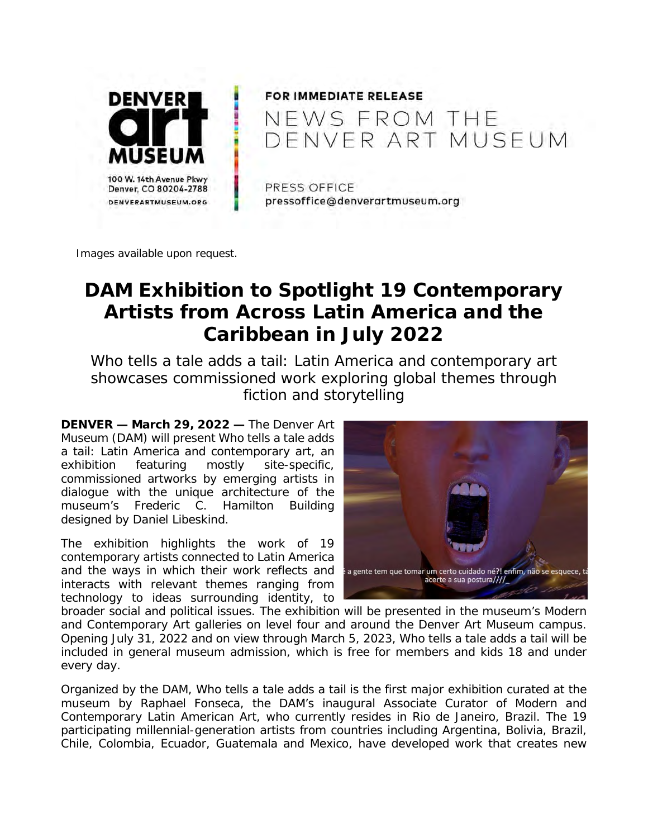

## FOR IMMEDIATE RELEASE NEWS FROM THE DENVER ART MUSEUM

PRESS OFFICE pressoffice@denverartmuseum.org

*Images available upon request.* 

# **DAM Exhibition to Spotlight 19 Contemporary Artists from Across Latin America and the Caribbean in July 2022**

Who tells a tale adds a tail: Latin America and contemporary art *showcases commissioned work exploring global themes through fiction and storytelling* 

**DENVER — March 29, 2022 —** The Denver Art Museum (DAM) will present *Who tells a tale adds a tail: Latin America and contemporary art*, an exhibition featuring mostly site-specific, commissioned artworks by emerging artists in dialogue with the unique architecture of the museum's Frederic C. Hamilton Building designed by Daniel Libeskind.

The exhibition highlights the work of 19 contemporary artists connected to Latin America and the ways in which their work reflects and interacts with relevant themes ranging from technology to ideas surrounding identity, to



broader social and political issues. The exhibition will be presented in the museum's Modern and Contemporary Art galleries on level four and around the Denver Art Museum campus. Opening July 31, 2022 and on view through March 5, 2023, *Who tells a tale adds a tail* will be included in general museum admission, which is free for members and kids 18 and under every day.

Organized by the DAM, *Who tells a tale adds a tail* is the first major exhibition curated at the museum by Raphael Fonseca, the DAM's inaugural Associate Curator of Modern and Contemporary Latin American Art, who currently resides in Rio de Janeiro, Brazil. The 19 participating millennial-generation artists from countries including Argentina, Bolivia, Brazil, Chile, Colombia, Ecuador, Guatemala and Mexico, have developed work that creates new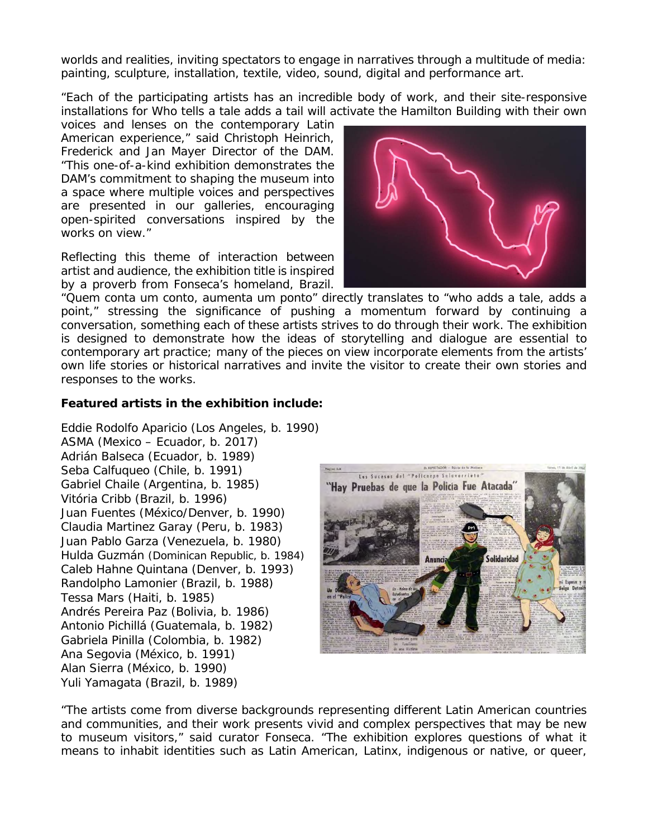worlds and realities, inviting spectators to engage in narratives through a multitude of media: painting, sculpture, installation, textile, video, sound, digital and performance art.

"Each of the participating artists has an incredible body of work, and their site-responsive installations for *Who tells a tale adds a tail* will activate the Hamilton Building with their own

voices and lenses on the contemporary Latin American experience," said Christoph Heinrich, Frederick and Jan Mayer Director of the DAM. "This one-of-a-kind exhibition demonstrates the DAM's commitment to shaping the museum into a space where multiple voices and perspectives are presented in our galleries, encouraging open-spirited conversations inspired by the works on view."

Reflecting this theme of interaction between artist and audience, the exhibition title is inspired by a proverb from Fonseca's homeland, Brazil.



"Quem conta um conto, aumenta um ponto" directly translates to "who adds a tale, adds a point," stressing the significance of pushing a momentum forward by continuing a conversation, something each of these artists strives to do through their work. The exhibition is designed to demonstrate how the ideas of storytelling and dialogue are essential to contemporary art practice; many of the pieces on view incorporate elements from the artists' own life stories or historical narratives and invite the visitor to create their own stories and responses to the works.

## **Featured artists in the exhibition include:**

Eddie Rodolfo Aparicio (Los Angeles, b. 1990) ASMA (Mexico – Ecuador, b. 2017) Adrián Balseca (Ecuador, b. 1989) Seba Calfuqueo (Chile, b. 1991) Gabriel Chaile (Argentina, b. 1985) Vitória Cribb (Brazil, b. 1996) Juan Fuentes (México/Denver, b. 1990) Claudia Martinez Garay (Peru, b. 1983) Juan Pablo Garza (Venezuela, b. 1980) Hulda Guzmán (Dominican Republic, b. 1984) Caleb Hahne Quintana (Denver, b. 1993) Randolpho Lamonier (Brazil, b. 1988) Tessa Mars (Haiti, b. 1985) Andrés Pereira Paz (Bolivia, b. 1986) Antonio Pichillá (Guatemala, b. 1982) Gabriela Pinilla (Colombia, b. 1982) Ana Segovia (México, b. 1991) Alan Sierra (México, b. 1990) Yuli Yamagata (Brazil, b. 1989)



"The artists come from diverse backgrounds representing different Latin American countries and communities, and their work presents vivid and complex perspectives that may be new to museum visitors," said curator Fonseca. "The exhibition explores questions of what it means to inhabit identities such as Latin American, Latinx, indigenous or native, or queer,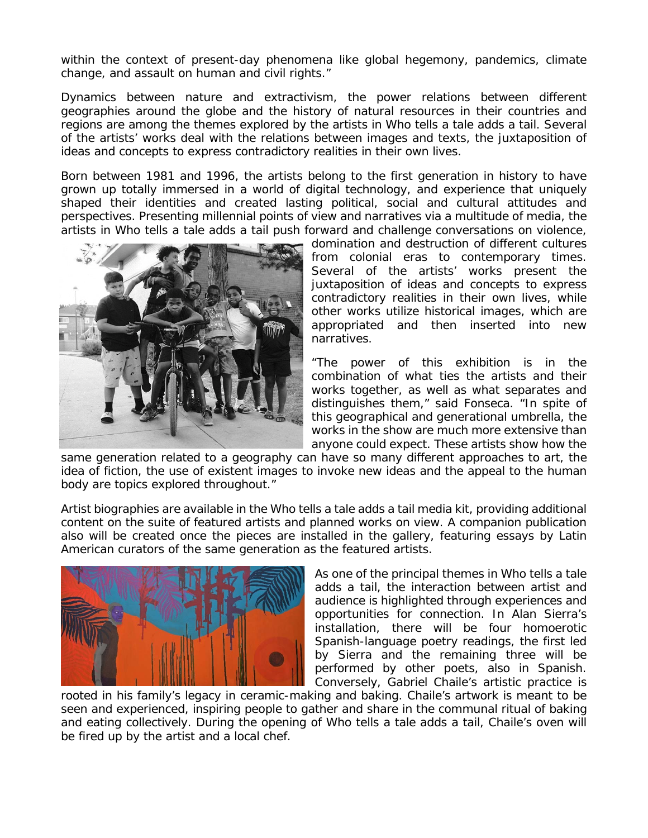within the context of present-day phenomena like global hegemony, pandemics, climate change, and assault on human and civil rights."

Dynamics between nature and extractivism, the power relations between different geographies around the globe and the history of natural resources in their countries and regions are among the themes explored by the artists in *Who tells a tale adds a tail*. Several of the artists' works deal with the relations between images and texts, the juxtaposition of ideas and concepts to express contradictory realities in their own lives.

Born between 1981 and 1996, the artists belong to the first generation in history to have grown up totally immersed in a world of digital technology, and experience that uniquely shaped their identities and created lasting political, social and cultural attitudes and perspectives. Presenting millennial points of view and narratives via a multitude of media, the artists in *Who tells a tale adds a tail* push forward and challenge conversations on violence,



domination and destruction of different cultures from colonial eras to contemporary times. Several of the artists' works present the juxtaposition of ideas and concepts to express contradictory realities in their own lives, while other works utilize historical images, which are appropriated and then inserted into new narratives.

"The power of this exhibition is in the combination of what ties the artists and their works together, as well as what separates and distinguishes them," said Fonseca. "In spite of this geographical and generational umbrella, the works in the show are much more extensive than anyone could expect. These artists show how the

same generation related to a geography can have so many different approaches to art, the idea of fiction, the use of existent images to invoke new ideas and the appeal to the human body are topics explored throughout."

Artist biographies are available in the *Who tells a tale adds a tail* media kit, providing additional content on the suite of featured artists and planned works on view. A companion publication also will be created once the pieces are installed in the gallery, featuring essays by Latin American curators of the same generation as the featured artists.



As one of the principal themes in *Who tells a tale adds a tail*, the interaction between artist and audience is highlighted through experiences and opportunities for connection. In Alan Sierra's installation, there will be four homoerotic Spanish-language poetry readings, the first led by Sierra and the remaining three will be performed by other poets, also in Spanish. Conversely, Gabriel Chaile's artistic practice is

rooted in his family's legacy in ceramic-making and baking. Chaile's artwork is meant to be seen and experienced, inspiring people to gather and share in the communal ritual of baking and eating collectively. During the opening of *Who tells a tale adds a tail*, Chaile's oven will be fired up by the artist and a local chef.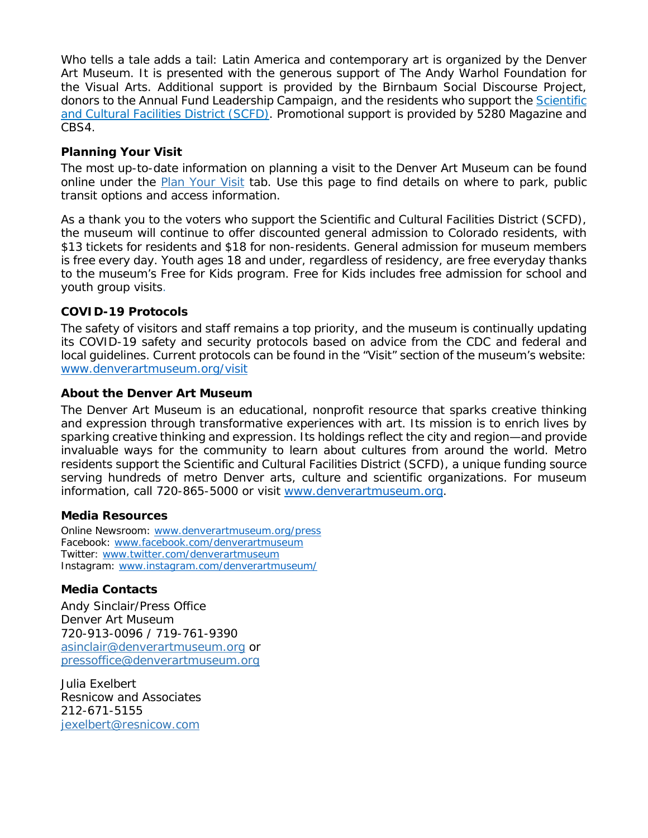*Who tells a tale adds a tail: Latin America and contemporary art is organized by the Denver* Art Museum. It is presented with the generous support of The Andy Warhol Foundation for the Visual Arts. Additional support is provided by the Birnbaum Social Discourse Project, donors to the Annual Fund Leadership Campaign, and the residents who support the Scientific and Cultural Facilities District (SCFD). Promotional support is provided by *5280 Magazine* and CBS4.

## **Planning Your Visit**

The most up-to-date information on planning a visit to the Denver Art Museum can be found online under the Plan Your Visit tab. Use this page to find details on where to park, public transit options and access information.

As a thank you to the voters who support the Scientific and Cultural Facilities District (SCFD), the museum will continue to offer discounted general admission to Colorado residents, with \$13 tickets for residents and \$18 for non-residents. General admission for museum members is free every day. Youth ages 18 and under, regardless of residency, are free everyday thanks to the museum's Free for Kids program. Free for Kids includes free admission for school and youth group visits.

## **COVID-19 Protocols**

The safety of visitors and staff remains a top priority, and the museum is continually updating its COVID-19 safety and security protocols based on advice from the CDC and federal and local guidelines. Current protocols can be found in the "Visit" section of the museum's website: www.denverartmuseum.org/visit

## **About the Denver Art Museum**

The Denver Art Museum is an educational, nonprofit resource that sparks creative thinking and expression through transformative experiences with art. Its mission is to enrich lives by sparking creative thinking and expression. Its holdings reflect the city and region—and provide invaluable ways for the community to learn about cultures from around the world. Metro residents support the Scientific and Cultural Facilities District (SCFD), a unique funding source serving hundreds of metro Denver arts, culture and scientific organizations. For museum information, call 720-865-5000 or visit www.denverartmuseum.org.

## **Media Resources**

Online Newsroom: www.denverartmuseum.org/press Facebook: www.facebook.com/denverartmuseum Twitter: www.twitter.com/denverartmuseum Instagram: www.instagram.com/denverartmuseum/

## **Media Contacts**

Andy Sinclair/Press Office Denver Art Museum 720-913-0096 / 719-761-9390 asinclair@denverartmuseum.org or pressoffice@denverartmuseum.org

Julia Exelbert Resnicow and Associates 212-671-5155 jexelbert@resnicow.com